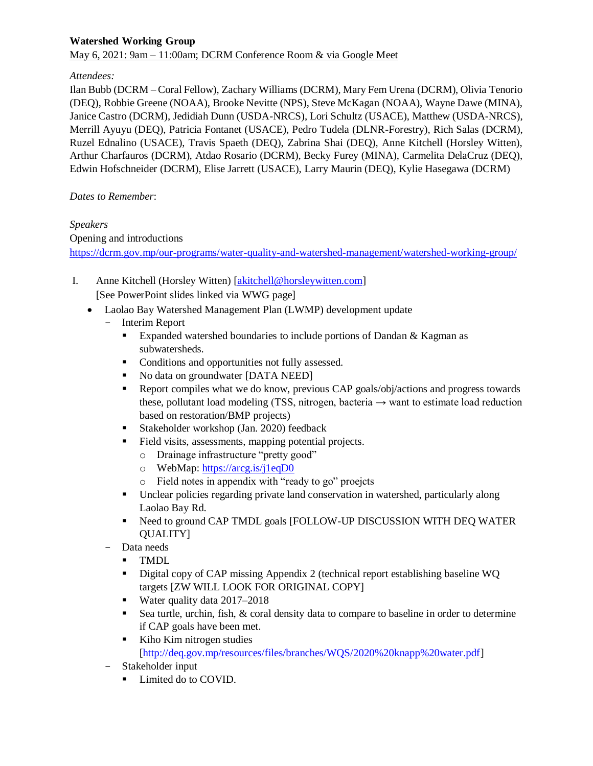# **Watershed Working Group**

May 6, 2021: 9am – 11:00am; DCRM Conference Room & via Google Meet

#### *Attendees:*

Ilan Bubb (DCRM – Coral Fellow), Zachary Williams (DCRM), Mary Fem Urena (DCRM), Olivia Tenorio (DEQ), Robbie Greene (NOAA), Brooke Nevitte (NPS), Steve McKagan (NOAA), Wayne Dawe (MINA), Janice Castro (DCRM), Jedidiah Dunn (USDA-NRCS), Lori Schultz (USACE), Matthew (USDA-NRCS), Merrill Ayuyu (DEQ), Patricia Fontanet (USACE), Pedro Tudela (DLNR-Forestry), Rich Salas (DCRM), Ruzel Ednalino (USACE), Travis Spaeth (DEQ), Zabrina Shai (DEQ), Anne Kitchell (Horsley Witten), Arthur Charfauros (DCRM), Atdao Rosario (DCRM), Becky Furey (MINA), Carmelita DelaCruz (DEQ), Edwin Hofschneider (DCRM), Elise Jarrett (USACE), Larry Maurin (DEQ), Kylie Hasegawa (DCRM)

#### *Dates to Remember*:

# *Speakers*

Opening and introductions

<https://dcrm.gov.mp/our-programs/water-quality-and-watershed-management/watershed-working-group/>

- I. Anne Kitchell (Horsley Witten) [\[akitchell@horsleywitten.com\]](akitchell@horsleywitten.com) [See PowerPoint slides linked via WWG page]
	- Laolao Bay Watershed Management Plan (LWMP) development update
		- Interim Report
			- Expanded watershed boundaries to include portions of Dandan & Kagman as subwatersheds.
			- Conditions and opportunities not fully assessed.
			- No data on groundwater [DATA NEED]
			- Report compiles what we do know, previous CAP goals/obj/actions and progress towards these, pollutant load modeling (TSS, nitrogen, bacteria  $\rightarrow$  want to estimate load reduction based on restoration/BMP projects)
			- Stakeholder workshop (Jan. 2020) feedback
			- Field visits, assessments, mapping potential projects.
				- o Drainage infrastructure "pretty good"
				- o WebMap[: https://arcg.is/j1eqD0](https://arcg.is/j1eqD0)
				- o Field notes in appendix with "ready to go" proejcts
			- Unclear policies regarding private land conservation in watershed, particularly along Laolao Bay Rd.
			- Need to ground CAP TMDL goals [FOLLOW-UP DISCUSSION WITH DEQ WATER QUALITY]
		- Data needs
			- TMDL
			- Digital copy of CAP missing Appendix 2 (technical report establishing baseline WQ targets [ZW WILL LOOK FOR ORIGINAL COPY]
			- Water quality data 2017–2018
			- Sea turtle, urchin, fish,  $\&$  coral density data to compare to baseline in order to determine if CAP goals have been met.
			- Kiho Kim nitrogen studies [\[http://deq.gov.mp/resources/files/branches/WQS/2020%20knapp%20water.pdf\]](http://deq.gov.mp/resources/files/branches/WQS/2020%20knapp%20water.pdf)
		- Stakeholder input
			- **Limited do to COVID.**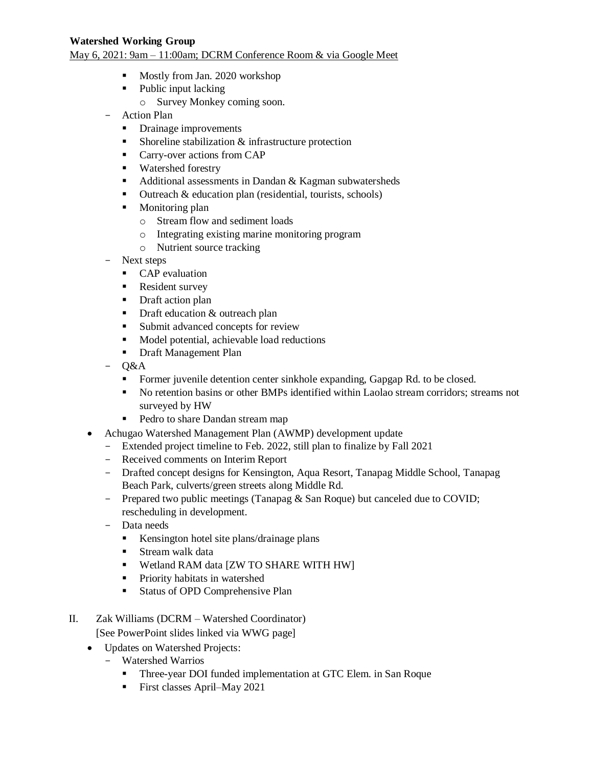#### **Watershed Working Group**

May 6, 2021: 9am – 11:00am; DCRM Conference Room & via Google Meet

- Mostly from Jan. 2020 workshop
- Public input lacking
	- o Survey Monkey coming soon.
- Action Plan
	- Drainage improvements
	- Shoreline stabilization  $&$  infrastructure protection
	- **Carry-over actions from CAP**
	- **Watershed forestry**
	- $\blacksquare$  Additional assessments in Dandan & Kagman subwatersheds
	- $\blacksquare$  Outreach & education plan (residential, tourists, schools)
	- **Monitoring plan** 
		- o Stream flow and sediment loads
		- o Integrating existing marine monitoring program
		- o Nutrient source tracking
- Next steps
	- CAP evaluation
	- Resident survey
	- Draft action plan
	- Draft education & outreach plan
	- Submit advanced concepts for review
	- Model potential, achievable load reductions
	- **Draft Management Plan**
- Q&A
	- Former juvenile detention center sinkhole expanding, Gapgap Rd. to be closed.
	- No retention basins or other BMPs identified within Laolao stream corridors; streams not surveyed by HW
	- Pedro to share Dandan stream map
- Achugao Watershed Management Plan (AWMP) development update
	- Extended project timeline to Feb. 2022, still plan to finalize by Fall 2021
	- Received comments on Interim Report
	- Drafted concept designs for Kensington, Aqua Resort, Tanapag Middle School, Tanapag Beach Park, culverts/green streets along Middle Rd.
	- Prepared two public meetings (Tanapag & San Roque) but canceled due to COVID; rescheduling in development.
	- Data needs
		- Kensington hotel site plans/drainage plans
		- **Stream walk data**
		- Wetland RAM data [ZW TO SHARE WITH HW]
		- **Priority habitats in watershed**
		- **Status of OPD Comprehensive Plan**
- II. Zak Williams (DCRM Watershed Coordinator) [See PowerPoint slides linked via WWG page]
	- Updates on Watershed Projects:
		- Watershed Warrios
			- Three-year DOI funded implementation at GTC Elem. in San Roque
			- First classes April–May 2021